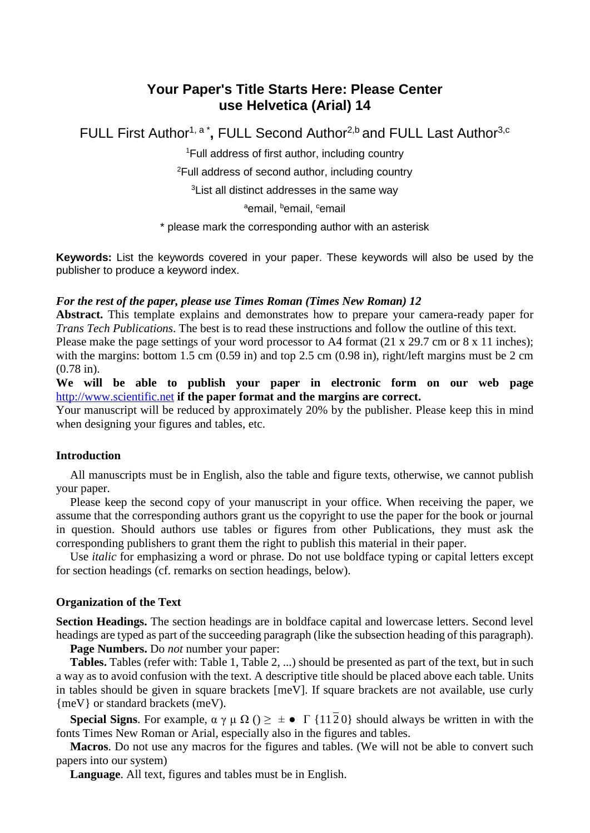# **Your Paper's Title Starts Here: Please Center use Helvetica (Arial) 14**

FULL First Author<sup>1, a\*</sup>, FULL Second Author<sup>2,b</sup> and FULL Last Author<sup>3,c</sup>

1 Full address of first author, including country

2 Full address of second author, including country

3 List all distinct addresses in the same way

ªemail, <sup>b</sup>email, <sup>c</sup>email

\* please mark the corresponding author with an asterisk

**Keywords:** List the keywords covered in your paper. These keywords will also be used by the publisher to produce a keyword index.

### *For the rest of the paper, please use Times Roman (Times New Roman) 12*

**Abstract.** This template explains and demonstrates how to prepare your camera-ready paper for *Trans Tech Publications*. The best is to read these instructions and follow the outline of this text.

Please make the page settings of your word processor to A4 format (21 x 29.7 cm or 8 x 11 inches); with the margins: bottom 1.5 cm (0.59 in) and top 2.5 cm (0.98 in), right/left margins must be 2 cm (0.78 in).

**We will be able to publish your paper in electronic form on our web page**  [http://www.scientific.net](http://www.scientific.net/) **if the paper format and the margins are correct.** 

Your manuscript will be reduced by approximately 20% by the publisher. Please keep this in mind when designing your figures and tables, etc.

## **Introduction**

All manuscripts must be in English, also the table and figure texts, otherwise, we cannot publish your paper.

Please keep the second copy of your manuscript in your office. When receiving the paper, we assume that the corresponding authors grant us the copyright to use the paper for the book or journal in question. Should authors use tables or figures from other Publications, they must ask the corresponding publishers to grant them the right to publish this material in their paper.

Use *italic* for emphasizing a word or phrase. Do not use boldface typing or capital letters except for section headings (cf. remarks on section headings, below).

## **Organization of the Text**

**Section Headings.** The section headings are in boldface capital and lowercase letters. Second level headings are typed as part of the succeeding paragraph (like the subsection heading of this paragraph).

**Page Numbers.** Do *not* number your paper:

**Tables.** Tables (refer with: Table 1, Table 2, ...) should be presented as part of the text, but in such a way as to avoid confusion with the text. A descriptive title should be placed above each table. Units in tables should be given in square brackets [meV]. If square brackets are not available, use curly {meV} or standard brackets (meV).

**Special Signs**. For example,  $\alpha \gamma \mu \Omega$  ()  $\geq \pm \bullet \Gamma$  {1120} should always be written in with the fonts Times New Roman or Arial, especially also in the figures and tables.

**Macros**. Do not use any macros for the figures and tables. (We will not be able to convert such papers into our system)

**Language**. All text, figures and tables must be in English.